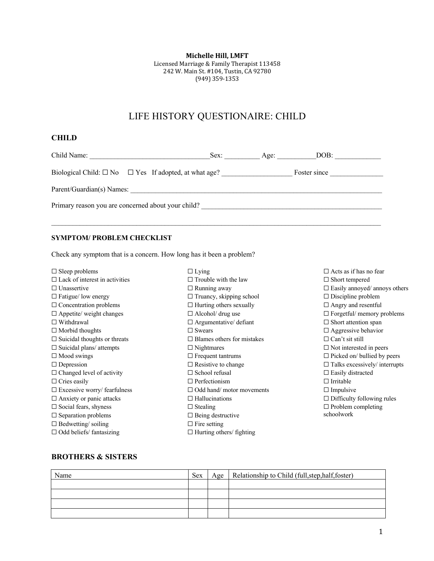**Michelle Hill, LMFT** 

Licensed Marriage & Family Therapist 113458 242 W. Main St. #104, Tustin, CA 92780 (949) 359-1353

# LIFE HISTORY QUESTIONAIRE: CHILD

# **CHILD**

| Child Name:                                                           | Sex: | Age: | DOB:         |  |  |  |
|-----------------------------------------------------------------------|------|------|--------------|--|--|--|
| Biological Child: $\square$ No $\square$ Yes If adopted, at what age? |      |      | Foster since |  |  |  |
| Parent/Guardian(s) Names:                                             |      |      |              |  |  |  |
| Primary reason you are concerned about your child?                    |      |      |              |  |  |  |

 $\mathcal{L}_\mathcal{L} = \mathcal{L}_\mathcal{L} = \mathcal{L}_\mathcal{L} = \mathcal{L}_\mathcal{L} = \mathcal{L}_\mathcal{L} = \mathcal{L}_\mathcal{L} = \mathcal{L}_\mathcal{L} = \mathcal{L}_\mathcal{L} = \mathcal{L}_\mathcal{L} = \mathcal{L}_\mathcal{L} = \mathcal{L}_\mathcal{L} = \mathcal{L}_\mathcal{L} = \mathcal{L}_\mathcal{L} = \mathcal{L}_\mathcal{L} = \mathcal{L}_\mathcal{L} = \mathcal{L}_\mathcal{L} = \mathcal{L}_\mathcal{L}$ 

### **SYMPTOM/ PROBLEM CHECKLIST**

Check any symptom that is a concern. How long has it been a problem?

| $\Box$ Sleep problems                 | $\Box$ Lying                      | $\Box$ Acts as if has no fear        |
|---------------------------------------|-----------------------------------|--------------------------------------|
| $\Box$ Lack of interest in activities | $\Box$ Trouble with the law       | $\square$ Short tempered             |
| $\Box$ Unassertive                    | $\Box$ Running away               | $\Box$ Easily annoyed/ annoys others |
| $\Box$ Fatigue/ low energy            | $\Box$ Truancy, skipping school   | $\Box$ Discipline problem            |
| $\Box$ Concentration problems         | $\Box$ Hurting others sexually    | $\Box$ Angry and resent ful          |
| $\Box$ Appetite/ weight changes       | $\Box$ Alcohol/ drug use          | $\Box$ Forgetful/ memory problems    |
| $\Box$ Withdrawal                     | $\Box$ Argumentative/ defiant     | $\Box$ Short attention span          |
| $\Box$ Morbid thoughts                | $\Box$ Swears                     | $\Box$ Aggressive behavior           |
| $\Box$ Suicidal thoughts or threats   | $\Box$ Blames others for mistakes | $\Box$ Can't sit still               |
| $\Box$ Suicidal plans/ attempts       | $\Box$ Nightmares                 | $\Box$ Not interested in peers       |
| $\Box$ Mood swings                    | $\Box$ Frequent tantrums          | $\Box$ Picked on/ bullied by peers   |
| $\Box$ Depression                     | $\Box$ Resistive to change        | $\Box$ Talks excessively/ interrupts |
| $\Box$ Changed level of activity      | $\Box$ School refusal             | $\Box$ Easily distracted             |
| $\Box$ Cries easily                   | $\Box$ Perfectionism              | $\Box$ Irritable                     |
| $\Box$ Excessive worry/ fearfulness   | $\Box$ Odd hand/motor movements   | $\Box$ Impulsive                     |
| $\Box$ Anxiety or panic attacks       | $\Box$ Hallucinations             | $\Box$ Difficulty following rules    |
| $\Box$ Social fears, shyness          | $\Box$ Stealing                   | $\Box$ Problem completing            |
| $\square$ Separation problems         | $\Box$ Being destructive          | schoolwork                           |
| $\Box$ Bedwetting/soiling             | $\Box$ Fire setting               |                                      |
| $\Box$ Odd beliefs/ fantasizing       | $\Box$ Hurting others/ fighting   |                                      |

## **BROTHERS & SISTERS**

| Name | <b>Sex</b> | Age   Relationship to Child (full, step, half, foster) |
|------|------------|--------------------------------------------------------|
|      |            |                                                        |
|      |            |                                                        |
|      |            |                                                        |
|      |            |                                                        |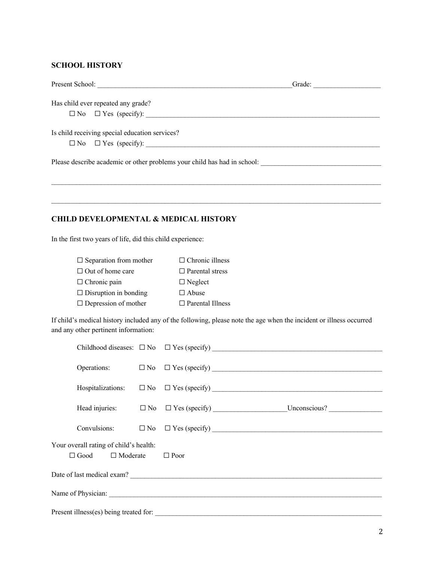#### **SCHOOL HISTORY**

| Present School:                                                          |                       |                                                                                                                     | Grade: |  |  |  |
|--------------------------------------------------------------------------|-----------------------|---------------------------------------------------------------------------------------------------------------------|--------|--|--|--|
| Has child ever repeated any grade?                                       |                       |                                                                                                                     |        |  |  |  |
|                                                                          |                       |                                                                                                                     |        |  |  |  |
| Is child receiving special education services?                           |                       |                                                                                                                     |        |  |  |  |
| $\Box$ No                                                                | $\Box$ Yes (specify): |                                                                                                                     |        |  |  |  |
|                                                                          |                       |                                                                                                                     |        |  |  |  |
|                                                                          |                       |                                                                                                                     |        |  |  |  |
|                                                                          |                       |                                                                                                                     |        |  |  |  |
| <b>CHILD DEVELOPMENTAL &amp; MEDICAL HISTORY</b>                         |                       |                                                                                                                     |        |  |  |  |
| In the first two years of life, did this child experience:               |                       |                                                                                                                     |        |  |  |  |
| $\Box$ Separation from mother                                            |                       | $\Box$ Chronic illness                                                                                              |        |  |  |  |
| $\Box$ Out of home care                                                  |                       | $\Box$ Parental stress                                                                                              |        |  |  |  |
| $\Box$ Chronic pain                                                      |                       | $\Box$ Neglect                                                                                                      |        |  |  |  |
| $\Box$ Disruption in bonding                                             |                       | $\Box$ Abuse                                                                                                        |        |  |  |  |
| $\Box$ Depression of mother                                              |                       | $\Box$ Parental Illness                                                                                             |        |  |  |  |
| and any other pertinent information:                                     |                       | If child's medical history included any of the following, please note the age when the incident or illness occurred |        |  |  |  |
| Childhood diseases: $\square$ No                                         |                       |                                                                                                                     |        |  |  |  |
| Operations:                                                              | $\square$ No          |                                                                                                                     |        |  |  |  |
| Hospitalizations:                                                        | $\square$ No          |                                                                                                                     |        |  |  |  |
| Head injuries:                                                           |                       |                                                                                                                     |        |  |  |  |
| Convulsions:                                                             | $\square$ No          | $\Box$ Yes (specify) $\Box$                                                                                         |        |  |  |  |
| Your overall rating of child's health:<br>$\Box$ Moderate<br>$\Box$ Good |                       | $\Box$ Poor                                                                                                         |        |  |  |  |
|                                                                          |                       |                                                                                                                     |        |  |  |  |
|                                                                          |                       |                                                                                                                     |        |  |  |  |
|                                                                          |                       |                                                                                                                     |        |  |  |  |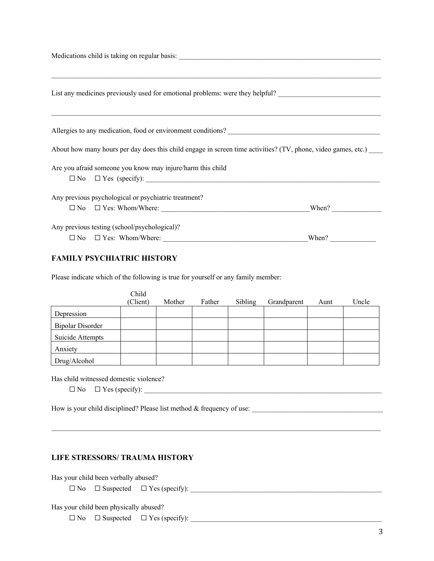Medications child is taking on regular basis:

| List any medicines previously used for emotional problems: were they helpful? |                                                            |                                                                                                                                                                                                                                        |  |  |  |
|-------------------------------------------------------------------------------|------------------------------------------------------------|----------------------------------------------------------------------------------------------------------------------------------------------------------------------------------------------------------------------------------------|--|--|--|
|                                                                               |                                                            | Allergies to any medication, food or environment conditions?<br><u>Letter and the set of the set of the set of the set of the set of the set of the set of the set of the set of the set of the set of the set of the set of the s</u> |  |  |  |
|                                                                               |                                                            | About how many hours per day does this child engage in screen time activities? (TV, phone, video games, etc.)                                                                                                                          |  |  |  |
|                                                                               | Are you afraid someone you know may injure/harm this child |                                                                                                                                                                                                                                        |  |  |  |
|                                                                               |                                                            |                                                                                                                                                                                                                                        |  |  |  |
|                                                                               | Any previous psychological or psychiatric treatment?       |                                                                                                                                                                                                                                        |  |  |  |
|                                                                               | $\Box$ No $\Box$ Yes: Whom/Where:                          | When?                                                                                                                                                                                                                                  |  |  |  |
|                                                                               | Any previous testing (school/psychological)?               |                                                                                                                                                                                                                                        |  |  |  |
|                                                                               | $\Box$ No $\Box$ Yes: Whom/Where:                          | When?                                                                                                                                                                                                                                  |  |  |  |

#### **FAMILY PSYCHIATRIC HISTORY**

Please indicate which of the following is true for yourself or any family member:

|                         | Child    |        |        |         |             |      |       |
|-------------------------|----------|--------|--------|---------|-------------|------|-------|
|                         | (Client) | Mother | Father | Sibling | Grandparent | Aunt | Uncle |
| Depression              |          |        |        |         |             |      |       |
| <b>Bipolar Disorder</b> |          |        |        |         |             |      |       |
| Suicide Attempts        |          |        |        |         |             |      |       |
| Anxiety                 |          |        |        |         |             |      |       |
| Drug/Alcohol            |          |        |        |         |             |      |       |

 $\mathcal{L}_\mathcal{L} = \mathcal{L}_\mathcal{L} = \mathcal{L}_\mathcal{L} = \mathcal{L}_\mathcal{L} = \mathcal{L}_\mathcal{L} = \mathcal{L}_\mathcal{L} = \mathcal{L}_\mathcal{L} = \mathcal{L}_\mathcal{L} = \mathcal{L}_\mathcal{L} = \mathcal{L}_\mathcal{L} = \mathcal{L}_\mathcal{L} = \mathcal{L}_\mathcal{L} = \mathcal{L}_\mathcal{L} = \mathcal{L}_\mathcal{L} = \mathcal{L}_\mathcal{L} = \mathcal{L}_\mathcal{L} = \mathcal{L}_\mathcal{L}$ 

Has child witnessed domestic violence?

 $\Box$  No  $\Box$  Yes (specify):

How is your child disciplined? Please list method & frequency of use:

#### **LIFE STRESSORS/ TRAUMA HISTORY**

Has your child been verbally abused?

☐ No ☐ Suspected ☐ Yes (specify): \_\_\_\_\_\_\_\_\_\_\_\_\_\_\_\_\_\_\_\_\_\_\_\_\_\_\_\_\_\_\_\_\_\_\_\_\_\_\_\_\_\_\_\_\_\_\_\_\_\_\_\_\_\_

Has your child been physically abused?

☐ No ☐ Suspected ☐ Yes (specify): \_\_\_\_\_\_\_\_\_\_\_\_\_\_\_\_\_\_\_\_\_\_\_\_\_\_\_\_\_\_\_\_\_\_\_\_\_\_\_\_\_\_\_\_\_\_\_\_\_\_\_\_\_\_